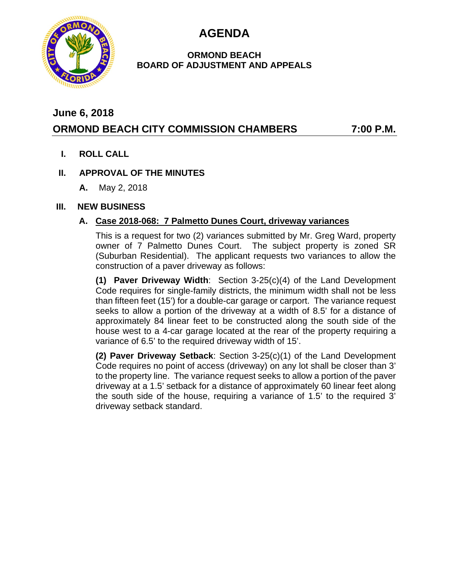**AGENDA**



#### **ORMOND BEACH BOARD OF ADJUSTMENT AND APPEALS**

## **June 6, 2018**

# **ORMOND BEACH CITY COMMISSION CHAMBERS 7:00 P.M.**

**I. ROLL CALL**

#### **II. APPROVAL OF THE MINUTES**

**A.** May 2, 2018

#### **III. NEW BUSINESS**

### **A. Case 2018-068: 7 Palmetto Dunes Court, driveway variances**

This is a request for two (2) variances submitted by Mr. Greg Ward, property owner of 7 Palmetto Dunes Court. The subject property is zoned SR (Suburban Residential). The applicant requests two variances to allow the construction of a paver driveway as follows:

**(1) Paver Driveway Width**: Section 3-25(c)(4) of the Land Development Code requires for single-family districts, the minimum width shall not be less than fifteen feet (15') for a double-car garage or carport. The variance request seeks to allow a portion of the driveway at a width of 8.5' for a distance of approximately 84 linear feet to be constructed along the south side of the house west to a 4-car garage located at the rear of the property requiring a variance of 6.5' to the required driveway width of 15'.

**(2) Paver Driveway Setback**: Section 3-25(c)(1) of the Land Development Code requires no point of access (driveway) on any lot shall be closer than 3' to the property line. The variance request seeks to allow a portion of the paver driveway at a 1.5' setback for a distance of approximately 60 linear feet along the south side of the house, requiring a variance of 1.5' to the required 3' driveway setback standard.